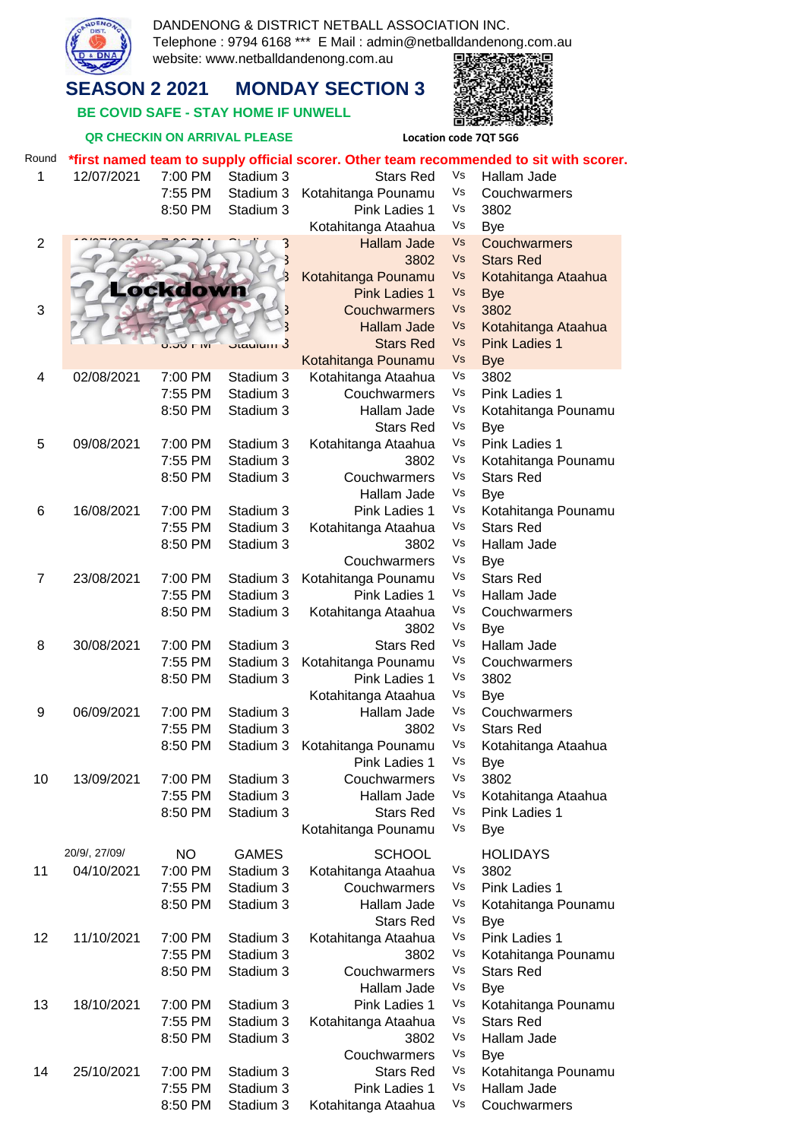

DANDENONG & DISTRICT NETBALL ASSOCIATION INC. Telephone : 9794 6168 \*\*\* E Mail : admin@netballdandenong.com.au website: www.netballdandenong.com.au 国語 §® े न

## **SEASON 2 2021 MONDAY SECTION 3**

 **BE COVID SAFE - STAY HOME IF UNWELL** 

## **QR CHECKIN ON ARRIVAL PLEASE Location code 7QT 5G6**

# 実施する State<br>Distri

| Round          | *first named team to supply official scorer. Other team recommended to sit with scorer. |                    |                         |                                        |          |                                         |  |  |  |  |
|----------------|-----------------------------------------------------------------------------------------|--------------------|-------------------------|----------------------------------------|----------|-----------------------------------------|--|--|--|--|
| 1              | 12/07/2021                                                                              | 7:00 PM            | Stadium 3               | <b>Stars Red</b>                       | Vs       | Hallam Jade                             |  |  |  |  |
|                |                                                                                         | 7:55 PM            | Stadium 3               | Kotahitanga Pounamu                    | Vs       | Couchwarmers                            |  |  |  |  |
|                |                                                                                         | 8:50 PM            | Stadium 3               | Pink Ladies 1                          | Vs       | 3802                                    |  |  |  |  |
|                |                                                                                         |                    |                         | Kotahitanga Ataahua                    | Vs       | <b>Bye</b>                              |  |  |  |  |
| $\overline{2}$ |                                                                                         |                    | 3                       | <b>Hallam Jade</b>                     | Vs       | Couchwarmers                            |  |  |  |  |
|                |                                                                                         |                    | 3                       | 3802                                   | Vs       | <b>Stars Red</b>                        |  |  |  |  |
|                |                                                                                         | Lockdown           | $\overline{\mathbf{3}}$ | Kotahitanga Pounamu                    | Vs       | Kotahitanga Ataahua                     |  |  |  |  |
|                |                                                                                         |                    |                         | <b>Pink Ladies 1</b>                   | Vs       | <b>Bye</b>                              |  |  |  |  |
| 3              |                                                                                         |                    | 3                       | Couchwarmers                           | Vs       | 3802                                    |  |  |  |  |
|                |                                                                                         |                    | $\overline{\mathbf{3}}$ | <b>Hallam Jade</b><br><b>Stars Red</b> | Vs<br>Vs | Kotahitanga Ataahua                     |  |  |  |  |
|                |                                                                                         | <b>U.JU FIVI</b>   | <mark>Jiaulum 3</mark>  | Kotahitanga Pounamu                    | Vs       | <b>Pink Ladies 1</b><br><b>Bye</b>      |  |  |  |  |
| 4              | 02/08/2021                                                                              | 7:00 PM            | Stadium 3               | Kotahitanga Ataahua                    | Vs       | 3802                                    |  |  |  |  |
|                |                                                                                         | 7:55 PM            | Stadium 3               | Couchwarmers                           | Vs       | Pink Ladies 1                           |  |  |  |  |
|                |                                                                                         | 8:50 PM            | Stadium 3               | Hallam Jade                            | Vs       | Kotahitanga Pounamu                     |  |  |  |  |
|                |                                                                                         |                    |                         | <b>Stars Red</b>                       | Vs       | Bye                                     |  |  |  |  |
| 5              | 09/08/2021                                                                              | 7:00 PM            | Stadium 3               | Kotahitanga Ataahua                    | Vs       | Pink Ladies 1                           |  |  |  |  |
|                |                                                                                         | 7:55 PM            | Stadium 3               | 3802                                   | Vs       | Kotahitanga Pounamu                     |  |  |  |  |
|                |                                                                                         | 8:50 PM            | Stadium 3               | Couchwarmers                           | Vs       | <b>Stars Red</b>                        |  |  |  |  |
|                |                                                                                         |                    |                         | Hallam Jade                            | Vs       | <b>Bye</b>                              |  |  |  |  |
| 6              | 16/08/2021                                                                              | 7:00 PM            | Stadium 3               | Pink Ladies 1                          | Vs       | Kotahitanga Pounamu                     |  |  |  |  |
|                |                                                                                         | 7:55 PM            | Stadium 3               | Kotahitanga Ataahua                    | Vs       | <b>Stars Red</b>                        |  |  |  |  |
|                |                                                                                         | 8:50 PM            | Stadium 3               | 3802                                   | Vs       | Hallam Jade                             |  |  |  |  |
|                |                                                                                         |                    |                         | Couchwarmers                           | Vs       | <b>Bye</b>                              |  |  |  |  |
| $\overline{7}$ | 23/08/2021                                                                              | 7:00 PM            | Stadium 3               | Kotahitanga Pounamu                    | Vs       | <b>Stars Red</b>                        |  |  |  |  |
|                |                                                                                         | 7:55 PM            | Stadium 3               | Pink Ladies 1                          | Vs       | Hallam Jade                             |  |  |  |  |
|                |                                                                                         | 8:50 PM            | Stadium 3               | Kotahitanga Ataahua                    | Vs       | Couchwarmers                            |  |  |  |  |
|                |                                                                                         |                    |                         | 3802                                   | Vs       | <b>Bye</b>                              |  |  |  |  |
| 8              | 30/08/2021                                                                              | 7:00 PM            | Stadium 3               | <b>Stars Red</b>                       | Vs       | Hallam Jade                             |  |  |  |  |
|                |                                                                                         | 7:55 PM            | Stadium 3               | Kotahitanga Pounamu                    | Vs       | Couchwarmers                            |  |  |  |  |
|                |                                                                                         | 8:50 PM            | Stadium 3               | Pink Ladies 1                          | Vs       | 3802                                    |  |  |  |  |
|                |                                                                                         |                    |                         | Kotahitanga Ataahua                    | Vs       | <b>Bye</b>                              |  |  |  |  |
| 9              | 06/09/2021                                                                              | 7:00 PM            | Stadium 3               | Hallam Jade                            | Vs       | Couchwarmers                            |  |  |  |  |
|                |                                                                                         | 7:55 PM            | Stadium 3               | 3802                                   | Vs       | <b>Stars Red</b>                        |  |  |  |  |
|                |                                                                                         | 8:50 PM            | Stadium 3               | Kotahitanga Pounamu                    | Vs       | Kotahitanga Ataahua                     |  |  |  |  |
|                |                                                                                         |                    |                         | Pink Ladies 1                          | Vs<br>Vs | Bye<br>3802                             |  |  |  |  |
| 10             | 13/09/2021                                                                              | 7:00 PM<br>7:55 PM | Stadium 3<br>Stadium 3  | Couchwarmers<br>Hallam Jade            | Vs       | Kotahitanga Ataahua                     |  |  |  |  |
|                |                                                                                         | 8:50 PM            | Stadium 3               | <b>Stars Red</b>                       | Vs       | Pink Ladies 1                           |  |  |  |  |
|                |                                                                                         |                    |                         | Kotahitanga Pounamu                    | Vs       | <b>Bye</b>                              |  |  |  |  |
|                |                                                                                         |                    |                         |                                        |          |                                         |  |  |  |  |
|                | 20/9/, 27/09/                                                                           | <b>NO</b>          | <b>GAMES</b>            | <b>SCHOOL</b>                          |          | <b>HOLIDAYS</b>                         |  |  |  |  |
| 11             | 04/10/2021                                                                              | 7:00 PM            | Stadium 3               | Kotahitanga Ataahua                    | Vs       | 3802                                    |  |  |  |  |
|                |                                                                                         | 7:55 PM            | Stadium 3               | Couchwarmers                           | Vs       | Pink Ladies 1                           |  |  |  |  |
|                |                                                                                         | 8:50 PM            | Stadium 3               | Hallam Jade                            | Vs       | Kotahitanga Pounamu                     |  |  |  |  |
|                |                                                                                         |                    |                         | <b>Stars Red</b>                       | Vs<br>Vs | <b>Bye</b>                              |  |  |  |  |
| 12             | 11/10/2021                                                                              | 7:00 PM            | Stadium 3<br>Stadium 3  | Kotahitanga Ataahua                    | Vs       | Pink Ladies 1                           |  |  |  |  |
|                |                                                                                         | 7:55 PM<br>8:50 PM | Stadium 3               | 3802<br>Couchwarmers                   | Vs       | Kotahitanga Pounamu<br><b>Stars Red</b> |  |  |  |  |
|                |                                                                                         |                    |                         | Hallam Jade                            | Vs       | <b>Bye</b>                              |  |  |  |  |
| 13             | 18/10/2021                                                                              | 7:00 PM            | Stadium 3               | Pink Ladies 1                          | Vs       | Kotahitanga Pounamu                     |  |  |  |  |
|                |                                                                                         | 7:55 PM            | Stadium 3               | Kotahitanga Ataahua                    | Vs       | <b>Stars Red</b>                        |  |  |  |  |
|                |                                                                                         | 8:50 PM            | Stadium 3               | 3802                                   | Vs       | Hallam Jade                             |  |  |  |  |
|                |                                                                                         |                    |                         | Couchwarmers                           | Vs       | <b>Bye</b>                              |  |  |  |  |
| 14             | 25/10/2021                                                                              | 7:00 PM            | Stadium 3               | <b>Stars Red</b>                       | Vs       | Kotahitanga Pounamu                     |  |  |  |  |
|                |                                                                                         | 7:55 PM            | Stadium 3               | Pink Ladies 1                          | Vs       | Hallam Jade                             |  |  |  |  |
|                |                                                                                         | 8:50 PM            | Stadium 3               | Kotahitanga Ataahua                    | Vs       | Couchwarmers                            |  |  |  |  |